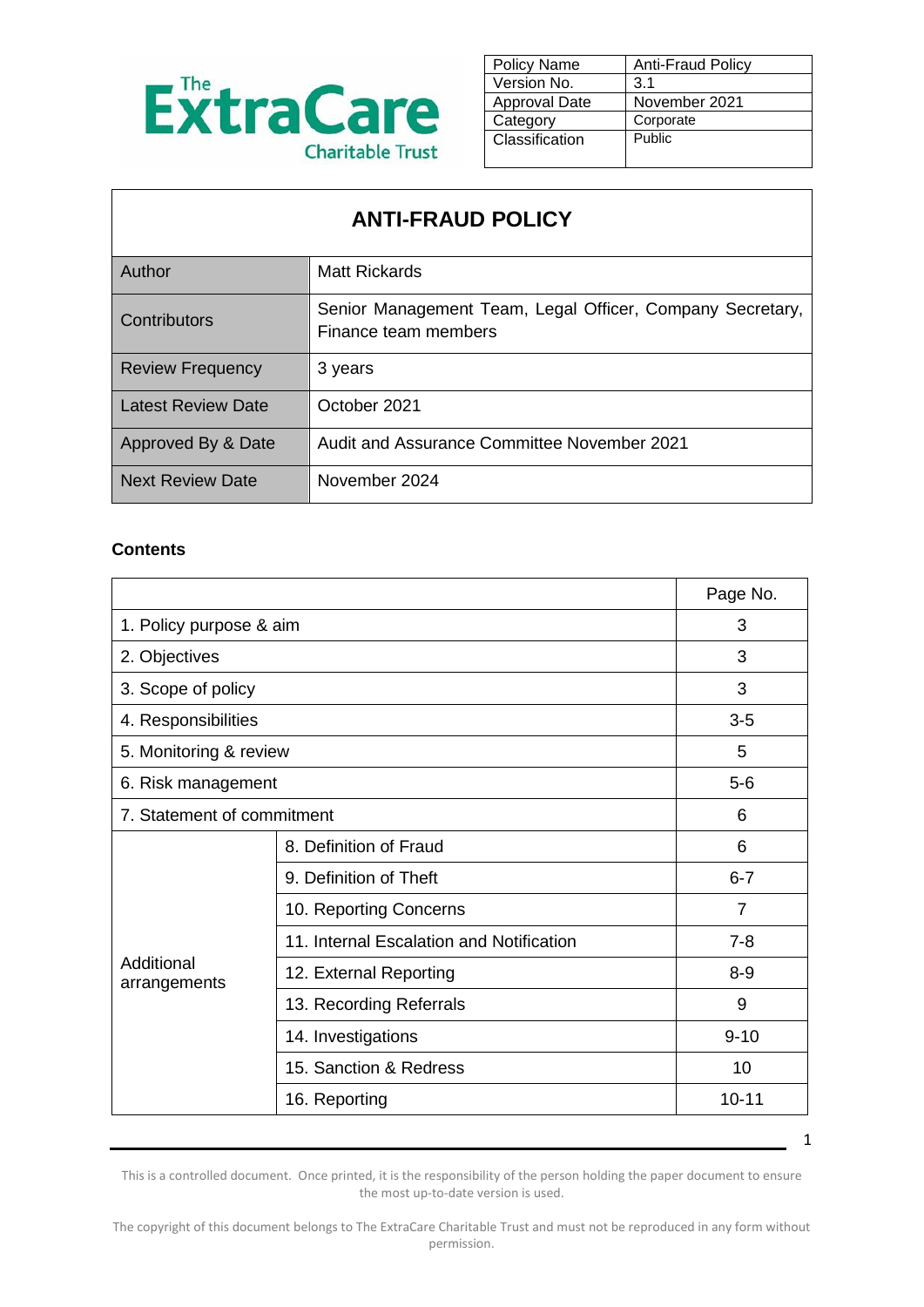

| <b>Policy Name</b>   | <b>Anti-Fraud Policy</b> |
|----------------------|--------------------------|
| Version No.          | 3.1                      |
| <b>Approval Date</b> | November 2021            |
| Category             | Corporate                |
| Classification       | Public                   |
|                      |                          |

# **ANTI-FRAUD POLICY**

| Author                    | Matt Rickards                                                                     |
|---------------------------|-----------------------------------------------------------------------------------|
| Contributors              | Senior Management Team, Legal Officer, Company Secretary,<br>Finance team members |
| <b>Review Frequency</b>   | 3 years                                                                           |
| <b>Latest Review Date</b> | October 2021                                                                      |
| Approved By & Date        | Audit and Assurance Committee November 2021                                       |
| <b>Next Review Date</b>   | November 2024                                                                     |

#### **Contents**

 $\mathbf{r}$ 

|                                          | Page No.       |
|------------------------------------------|----------------|
| 1. Policy purpose & aim                  |                |
| 2. Objectives                            |                |
| 3. Scope of policy                       |                |
|                                          | $3-5$          |
| 5. Monitoring & review                   | 5              |
| 6. Risk management                       |                |
| 7. Statement of commitment               |                |
| 8. Definition of Fraud                   | 6              |
| 9. Definition of Theft                   | $6 - 7$        |
| 10. Reporting Concerns                   | $\overline{7}$ |
| 11. Internal Escalation and Notification | $7-8$          |
| 12. External Reporting                   | $8 - 9$        |
| 13. Recording Referrals                  | 9              |
| 14. Investigations                       | $9 - 10$       |
| 15. Sanction & Redress                   | 10             |
| 16. Reporting                            | $10 - 11$      |
|                                          |                |

1

This is a controlled document. Once printed, it is the responsibility of the person holding the paper document to ensure the most up-to-date version is used.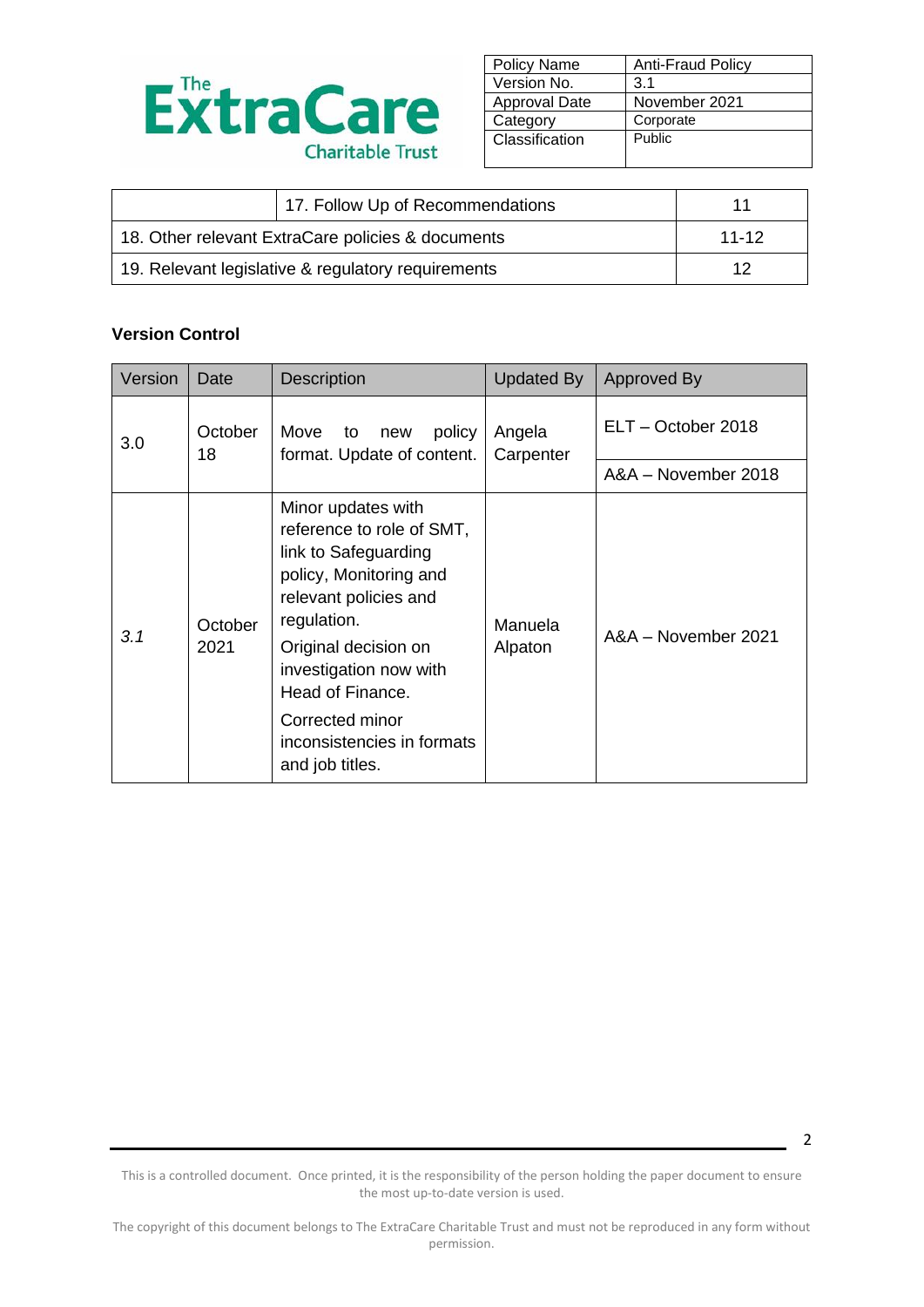

| <b>Policy Name</b>   | <b>Anti-Fraud Policy</b> |
|----------------------|--------------------------|
| Version No.          | 3.1                      |
| <b>Approval Date</b> | November 2021            |
| Category             | Corporate                |
| Classification       | Public                   |
|                      |                          |

| 17. Follow Up of Recommendations                   | 11      |
|----------------------------------------------------|---------|
| 18. Other relevant ExtraCare policies & documents  | $11-12$ |
| 19. Relevant legislative & regulatory requirements | 12      |

#### **Version Control**

| Version | Date                                                                       | <b>Description</b>                                                                                                                                                                                                                                                                  | <b>Updated By</b>   | Approved By         |
|---------|----------------------------------------------------------------------------|-------------------------------------------------------------------------------------------------------------------------------------------------------------------------------------------------------------------------------------------------------------------------------------|---------------------|---------------------|
| 3.0     | October<br>Move<br>policy<br>to<br>new<br>18<br>format. Update of content. |                                                                                                                                                                                                                                                                                     | Angela<br>Carpenter | ELT - October 2018  |
|         |                                                                            |                                                                                                                                                                                                                                                                                     |                     | A&A - November 2018 |
| 3.1     | October<br>2021                                                            | Minor updates with<br>reference to role of SMT,<br>link to Safeguarding<br>policy, Monitoring and<br>relevant policies and<br>regulation.<br>Original decision on<br>investigation now with<br>Head of Finance.<br>Corrected minor<br>inconsistencies in formats<br>and job titles. | Manuela<br>Alpaton  | A&A - November 2021 |

This is a controlled document. Once printed, it is the responsibility of the person holding the paper document to ensure the most up-to-date version is used.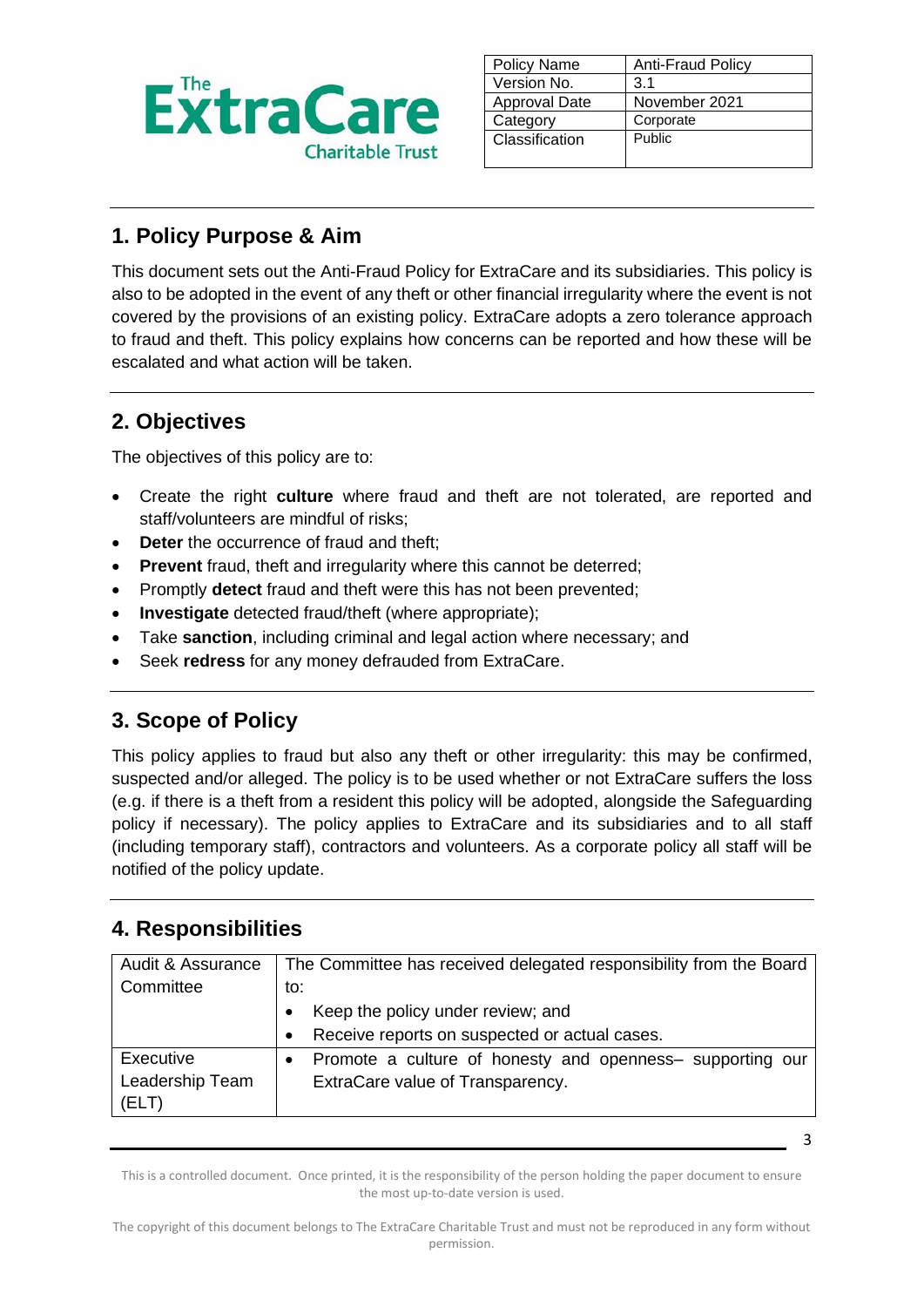

| <b>Policy Name</b>   | <b>Anti-Fraud Policy</b> |
|----------------------|--------------------------|
| Version No.          | 3.1                      |
| <b>Approval Date</b> | November 2021            |
| Category             | Corporate                |
| Classification       | Public                   |
|                      |                          |

## **1. Policy Purpose & Aim**

This document sets out the Anti-Fraud Policy for ExtraCare and its subsidiaries. This policy is also to be adopted in the event of any theft or other financial irregularity where the event is not covered by the provisions of an existing policy. ExtraCare adopts a zero tolerance approach to fraud and theft. This policy explains how concerns can be reported and how these will be escalated and what action will be taken.

## **2. Objectives**

The objectives of this policy are to:

- Create the right **culture** where fraud and theft are not tolerated, are reported and staff/volunteers are mindful of risks;
- **Deter** the occurrence of fraud and theft;
- **Prevent** fraud, theft and irregularity where this cannot be deterred;
- Promptly **detect** fraud and theft were this has not been prevented;
- **Investigate** detected fraud/theft (where appropriate);
- Take **sanction**, including criminal and legal action where necessary; and
- Seek **redress** for any money defrauded from ExtraCare.

# **3. Scope of Policy**

This policy applies to fraud but also any theft or other irregularity: this may be confirmed, suspected and/or alleged. The policy is to be used whether or not ExtraCare suffers the loss (e.g. if there is a theft from a resident this policy will be adopted, alongside the Safeguarding policy if necessary). The policy applies to ExtraCare and its subsidiaries and to all staff (including temporary staff), contractors and volunteers. As a corporate policy all staff will be notified of the policy update.

### **4. Responsibilities**

| Audit & Assurance | The Committee has received delegated responsibility from the Board     |
|-------------------|------------------------------------------------------------------------|
| Committee         | to:                                                                    |
|                   | Keep the policy under review; and                                      |
|                   | Receive reports on suspected or actual cases.                          |
| Executive         | Promote a culture of honesty and openness- supporting our<br>$\bullet$ |
| Leadership Team   | ExtraCare value of Transparency.                                       |
| (ELT)             |                                                                        |

This is a controlled document. Once printed, it is the responsibility of the person holding the paper document to ensure the most up-to-date version is used.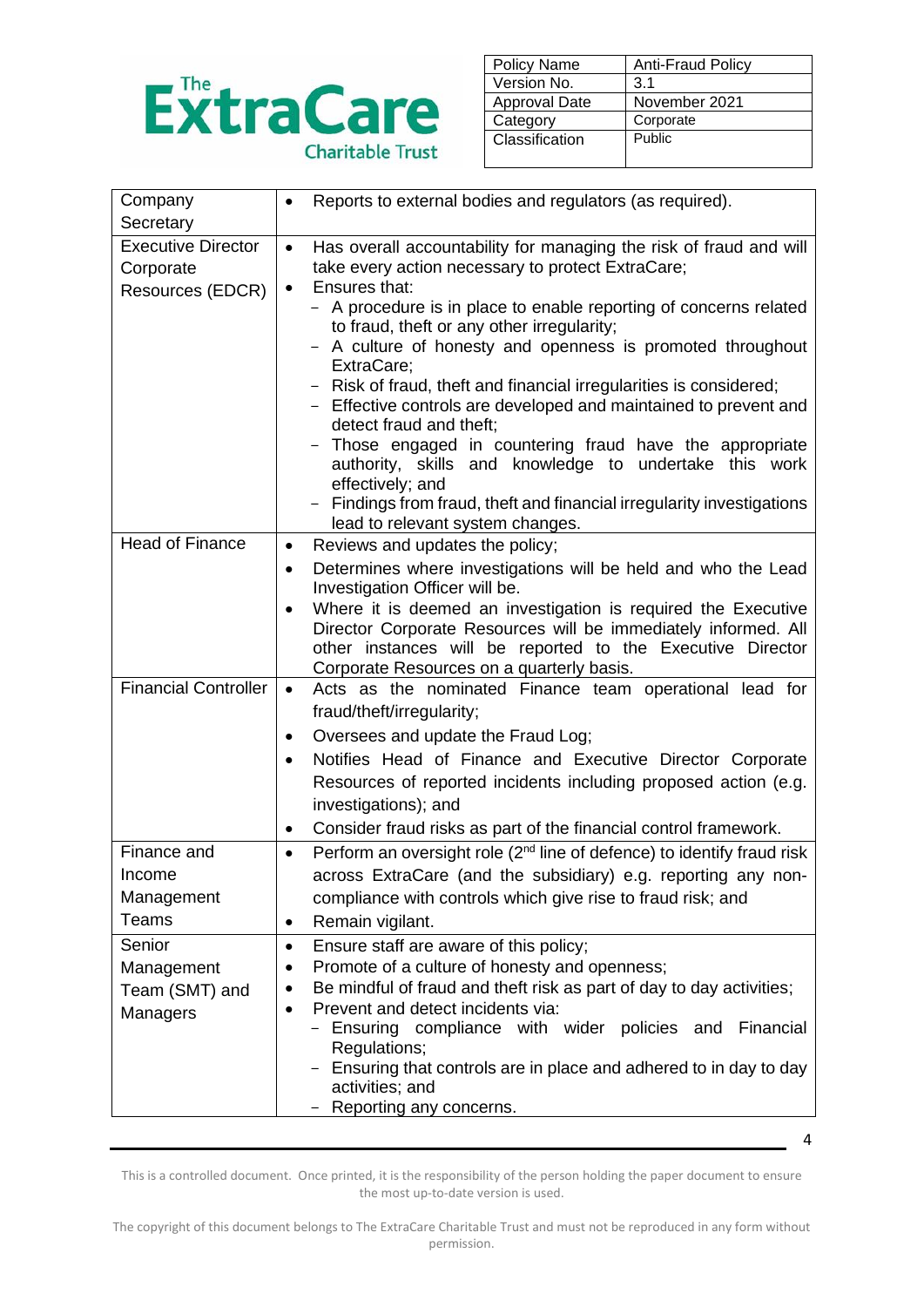

| <b>Policy Name</b>   | <b>Anti-Fraud Policy</b> |
|----------------------|--------------------------|
| Version No.          | 3.1                      |
| <b>Approval Date</b> | November 2021            |
| Category             | Corporate                |
| Classification       | Public                   |
|                      |                          |

| Company                     | Reports to external bodies and regulators (as required).                                                 |
|-----------------------------|----------------------------------------------------------------------------------------------------------|
| Secretary                   |                                                                                                          |
| <b>Executive Director</b>   | Has overall accountability for managing the risk of fraud and will<br>$\bullet$                          |
| Corporate                   | take every action necessary to protect ExtraCare;                                                        |
| Resources (EDCR)            | Ensures that:<br>$\bullet$                                                                               |
|                             | - A procedure is in place to enable reporting of concerns related                                        |
|                             | to fraud, theft or any other irregularity;<br>- A culture of honesty and openness is promoted throughout |
|                             | ExtraCare;                                                                                               |
|                             | - Risk of fraud, theft and financial irregularities is considered;                                       |
|                             | - Effective controls are developed and maintained to prevent and                                         |
|                             | detect fraud and theft;                                                                                  |
|                             | Those engaged in countering fraud have the appropriate                                                   |
|                             | authority, skills and knowledge to undertake this work<br>effectively; and                               |
|                             | - Findings from fraud, theft and financial irregularity investigations                                   |
|                             | lead to relevant system changes.                                                                         |
| <b>Head of Finance</b>      | Reviews and updates the policy;<br>$\bullet$                                                             |
|                             | Determines where investigations will be held and who the Lead<br>$\bullet$                               |
|                             | Investigation Officer will be.                                                                           |
|                             | Where it is deemed an investigation is required the Executive                                            |
|                             | Director Corporate Resources will be immediately informed. All                                           |
|                             | other instances will be reported to the Executive Director<br>Corporate Resources on a quarterly basis.  |
| <b>Financial Controller</b> | Acts as the nominated Finance team operational lead for<br>$\bullet$                                     |
|                             | fraud/theft/irregularity;                                                                                |
|                             | Oversees and update the Fraud Log;<br>$\bullet$                                                          |
|                             | Notifies Head of Finance and Executive Director Corporate<br>$\bullet$                                   |
|                             | Resources of reported incidents including proposed action (e.g.                                          |
|                             | investigations); and                                                                                     |
|                             | Consider fraud risks as part of the financial control framework.<br>٠                                    |
| Finance and                 | Perform an oversight role (2 <sup>nd</sup> line of defence) to identify fraud risk<br>$\bullet$          |
| Income                      | across ExtraCare (and the subsidiary) e.g. reporting any non-                                            |
| Management                  | compliance with controls which give rise to fraud risk; and                                              |
| Teams                       | Remain vigilant.<br>$\bullet$                                                                            |
| Senior                      | Ensure staff are aware of this policy;<br>$\bullet$                                                      |
| Management                  | Promote of a culture of honesty and openness;<br>٠                                                       |
| Team (SMT) and              | Be mindful of fraud and theft risk as part of day to day activities;<br>$\bullet$                        |
| Managers                    | Prevent and detect incidents via:<br>$\bullet$                                                           |
|                             | - Ensuring compliance with wider policies and Financial                                                  |
|                             | Regulations;                                                                                             |
|                             | Ensuring that controls are in place and adhered to in day to day<br>activities; and                      |
|                             | Reporting any concerns.                                                                                  |
|                             |                                                                                                          |

This is a controlled document. Once printed, it is the responsibility of the person holding the paper document to ensure the most up-to-date version is used.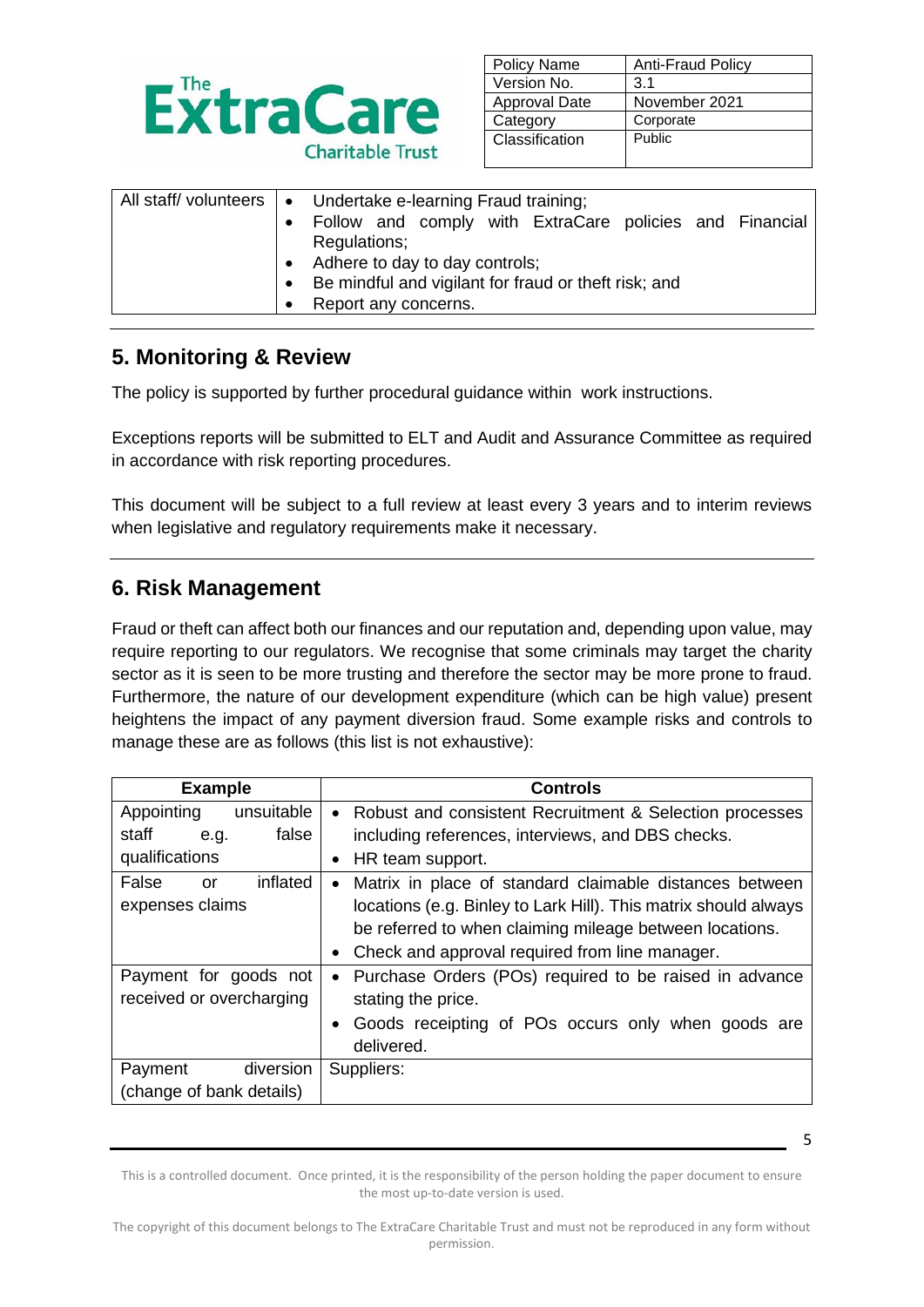

| <b>Policy Name</b>   | <b>Anti-Fraud Policy</b> |
|----------------------|--------------------------|
| Version No.          | 3.1                      |
| <b>Approval Date</b> | November 2021            |
| Category             | Corporate                |
| Classification       | Public                   |
|                      |                          |

| All staff/ volunteers   • Undertake e-learning Fraud training; |
|----------------------------------------------------------------|
| Follow and comply with ExtraCare policies and Financial        |
| Regulations;                                                   |
| Adhere to day to day controls;                                 |
| Be mindful and vigilant for fraud or theft risk; and           |
| Report any concerns.                                           |

### **5. Monitoring & Review**

The policy is supported by further procedural guidance within work instructions.

Exceptions reports will be submitted to ELT and Audit and Assurance Committee as required in accordance with risk reporting procedures.

This document will be subject to a full review at least every 3 years and to interim reviews when legislative and regulatory requirements make it necessary.

### **6. Risk Management**

Fraud or theft can affect both our finances and our reputation and, depending upon value, may require reporting to our regulators. We recognise that some criminals may target the charity sector as it is seen to be more trusting and therefore the sector may be more prone to fraud. Furthermore, the nature of our development expenditure (which can be high value) present heightens the impact of any payment diversion fraud. Some example risks and controls to manage these are as follows (this list is not exhaustive):

| <b>Example</b>           | <b>Controls</b>                                                      |
|--------------------------|----------------------------------------------------------------------|
| unsuitable<br>Appointing | Robust and consistent Recruitment & Selection processes<br>$\bullet$ |
| false<br>staff<br>e.g.   | including references, interviews, and DBS checks.                    |
| qualifications           | HR team support.                                                     |
| inflated<br>False<br>or  | Matrix in place of standard claimable distances between<br>$\bullet$ |
| expenses claims          | locations (e.g. Binley to Lark Hill). This matrix should always      |
|                          | be referred to when claiming mileage between locations.              |
|                          | Check and approval required from line manager.                       |
| Payment for goods not    | Purchase Orders (POs) required to be raised in advance               |
| received or overcharging | stating the price.                                                   |
|                          | Goods receipting of POs occurs only when goods are                   |
|                          | delivered.                                                           |
| diversion<br>Payment     | Suppliers:                                                           |
| (change of bank details) |                                                                      |

This is a controlled document. Once printed, it is the responsibility of the person holding the paper document to ensure the most up-to-date version is used.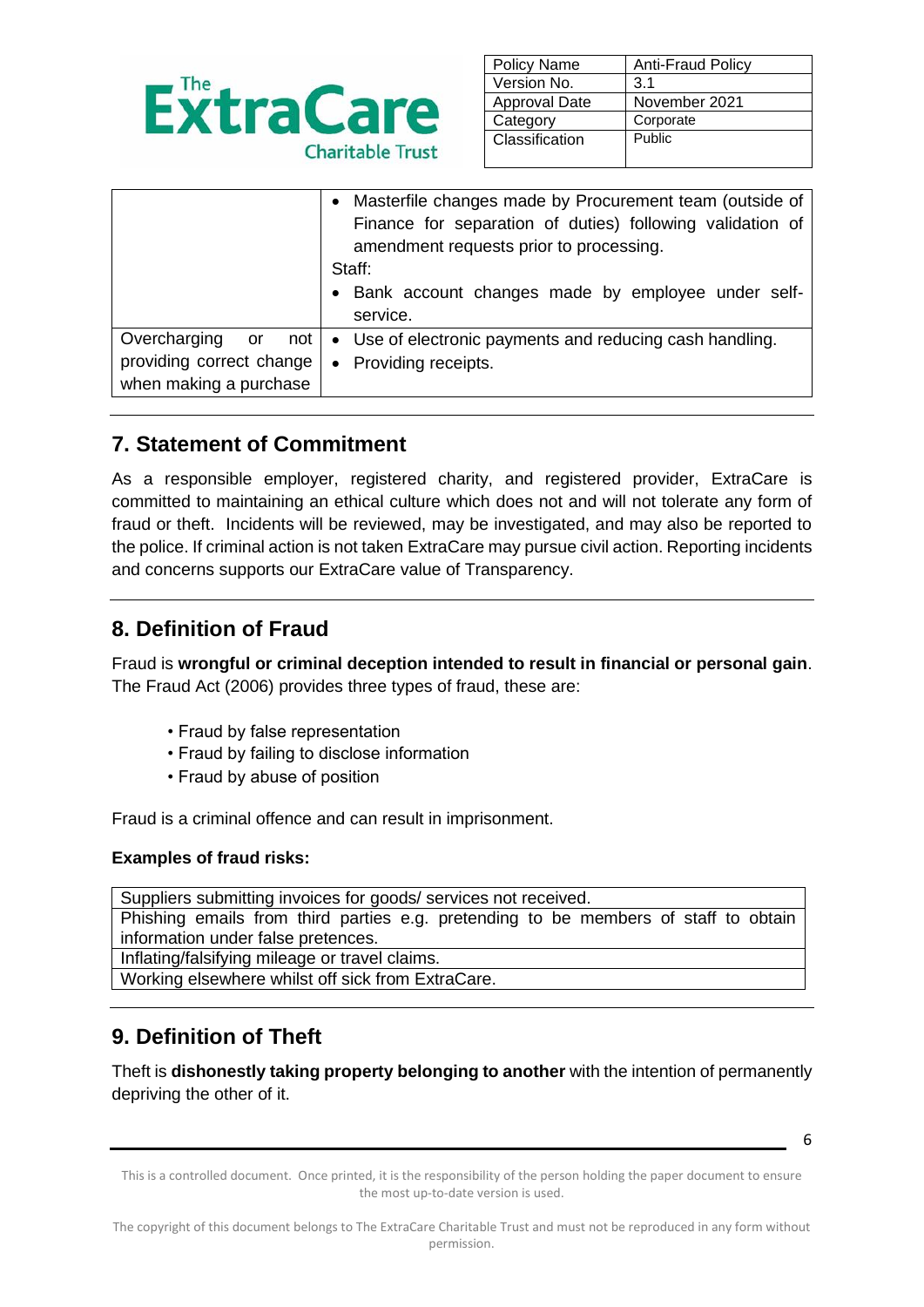

| <b>Policy Name</b>   | Anti-Fraud Policy |
|----------------------|-------------------|
| Version No.          | 3.1               |
| <b>Approval Date</b> | November 2021     |
| Category             | Corporate         |
| Classification       | Public            |
|                      |                   |

|                                                                              | • Masterfile changes made by Procurement team (outside of<br>Finance for separation of duties) following validation of<br>amendment requests prior to processing.<br>Staff:<br>• Bank account changes made by employee under self-<br>service. |
|------------------------------------------------------------------------------|------------------------------------------------------------------------------------------------------------------------------------------------------------------------------------------------------------------------------------------------|
| Overcharging or<br>not<br>providing correct change<br>when making a purchase | • Use of electronic payments and reducing cash handling.<br>• Providing receipts.                                                                                                                                                              |

## **7. Statement of Commitment**

As a responsible employer, registered charity, and registered provider, ExtraCare is committed to maintaining an ethical culture which does not and will not tolerate any form of fraud or theft. Incidents will be reviewed, may be investigated, and may also be reported to the police. If criminal action is not taken ExtraCare may pursue civil action. Reporting incidents and concerns supports our ExtraCare value of Transparency.

### **8. Definition of Fraud**

Fraud is **wrongful or criminal deception intended to result in financial or personal gain**. The Fraud Act (2006) provides three types of fraud, these are:

- Fraud by false representation
- Fraud by failing to disclose information
- Fraud by abuse of position

Fraud is a criminal offence and can result in imprisonment.

#### **Examples of fraud risks:**

Suppliers submitting invoices for goods/ services not received. Phishing emails from third parties e.g. pretending to be members of staff to obtain information under false pretences.

Inflating/falsifying mileage or travel claims.

Working elsewhere whilst off sick from ExtraCare.

## **9. Definition of Theft**

Theft is **dishonestly taking property belonging to another** with the intention of permanently depriving the other of it.

This is a controlled document. Once printed, it is the responsibility of the person holding the paper document to ensure the most up-to-date version is used.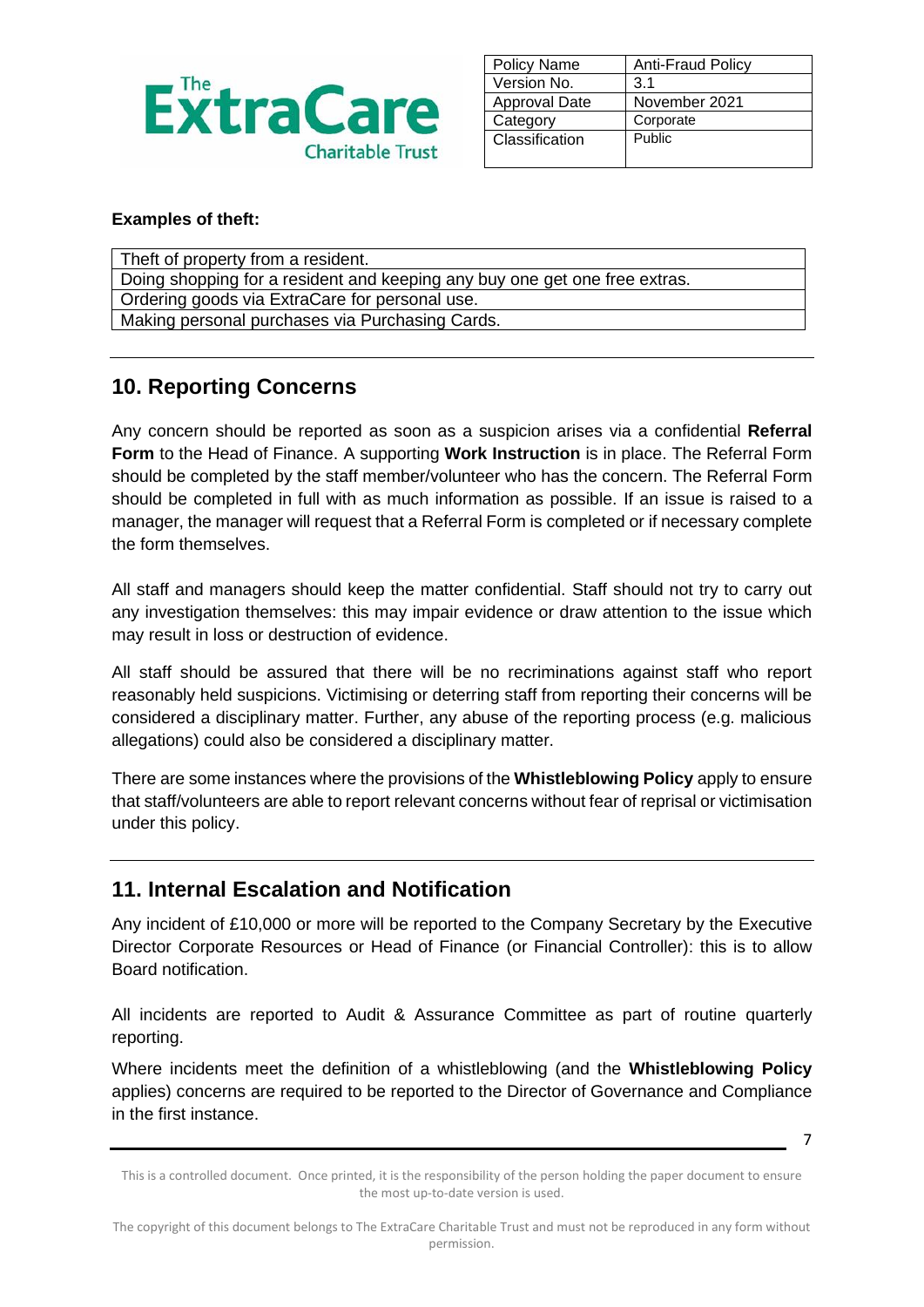

| <b>Policy Name</b>   | <b>Anti-Fraud Policy</b> |
|----------------------|--------------------------|
| Version No.          | 3.1                      |
| <b>Approval Date</b> | November 2021            |
| Category             | Corporate                |
| Classification       | Public                   |
|                      |                          |

#### **Examples of theft:**

| Theft of property from a resident.                                         |
|----------------------------------------------------------------------------|
| Doing shopping for a resident and keeping any buy one get one free extras. |
| Ordering goods via ExtraCare for personal use.                             |
| Making personal purchases via Purchasing Cards.                            |

### **10. Reporting Concerns**

Any concern should be reported as soon as a suspicion arises via a confidential **Referral Form** to the Head of Finance. A supporting **Work Instruction** is in place. The Referral Form should be completed by the staff member/volunteer who has the concern. The Referral Form should be completed in full with as much information as possible. If an issue is raised to a manager, the manager will request that a Referral Form is completed or if necessary complete the form themselves.

All staff and managers should keep the matter confidential. Staff should not try to carry out any investigation themselves: this may impair evidence or draw attention to the issue which may result in loss or destruction of evidence.

All staff should be assured that there will be no recriminations against staff who report reasonably held suspicions. Victimising or deterring staff from reporting their concerns will be considered a disciplinary matter. Further, any abuse of the reporting process (e.g. malicious allegations) could also be considered a disciplinary matter.

There are some instances where the provisions of the **Whistleblowing Policy** apply to ensure that staff/volunteers are able to report relevant concerns without fear of reprisal or victimisation under this policy.

### **11. Internal Escalation and Notification**

Any incident of £10,000 or more will be reported to the Company Secretary by the Executive Director Corporate Resources or Head of Finance (or Financial Controller): this is to allow Board notification.

All incidents are reported to Audit & Assurance Committee as part of routine quarterly reporting.

Where incidents meet the definition of a whistleblowing (and the **Whistleblowing Policy** applies) concerns are required to be reported to the Director of Governance and Compliance in the first instance.

<sup>7</sup>

This is a controlled document. Once printed, it is the responsibility of the person holding the paper document to ensure the most up-to-date version is used.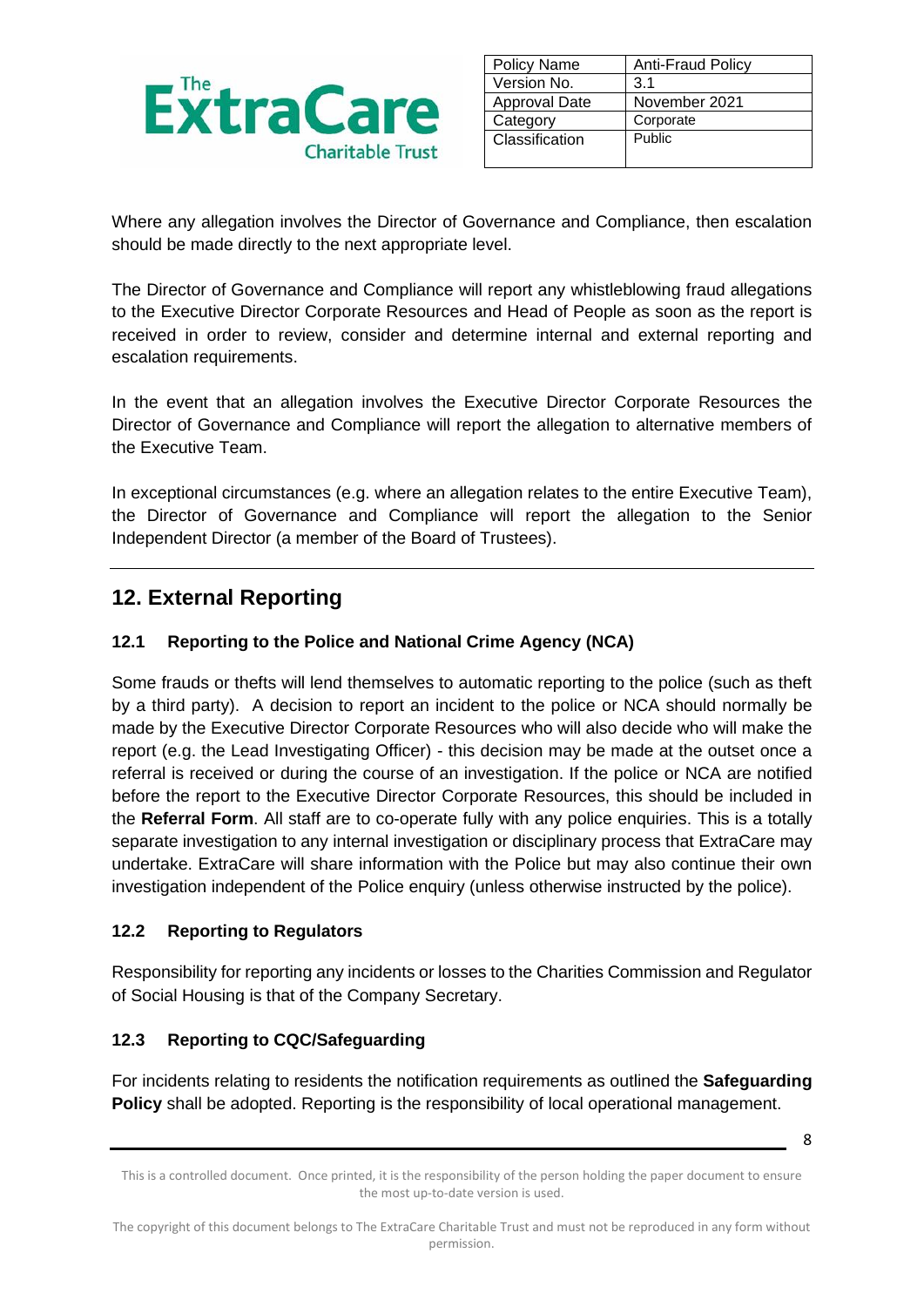

| <b>Policy Name</b> | <b>Anti-Fraud Policy</b> |
|--------------------|--------------------------|
| Version No.        | 3.1                      |
| Approval Date      | November 2021            |
| Category           | Corporate                |
| Classification     | Public                   |
|                    |                          |

Where any allegation involves the Director of Governance and Compliance, then escalation should be made directly to the next appropriate level.

The Director of Governance and Compliance will report any whistleblowing fraud allegations to the Executive Director Corporate Resources and Head of People as soon as the report is received in order to review, consider and determine internal and external reporting and escalation requirements.

In the event that an allegation involves the Executive Director Corporate Resources the Director of Governance and Compliance will report the allegation to alternative members of the Executive Team.

In exceptional circumstances (e.g. where an allegation relates to the entire Executive Team), the Director of Governance and Compliance will report the allegation to the Senior Independent Director (a member of the Board of Trustees).

## **12. External Reporting**

#### **12.1 Reporting to the Police and National Crime Agency (NCA)**

Some frauds or thefts will lend themselves to automatic reporting to the police (such as theft by a third party). A decision to report an incident to the police or NCA should normally be made by the Executive Director Corporate Resources who will also decide who will make the report (e.g. the Lead Investigating Officer) - this decision may be made at the outset once a referral is received or during the course of an investigation. If the police or NCA are notified before the report to the Executive Director Corporate Resources, this should be included in the **Referral Form**. All staff are to co-operate fully with any police enquiries. This is a totally separate investigation to any internal investigation or disciplinary process that ExtraCare may undertake. ExtraCare will share information with the Police but may also continue their own investigation independent of the Police enquiry (unless otherwise instructed by the police).

#### **12.2 Reporting to Regulators**

Responsibility for reporting any incidents or losses to the Charities Commission and Regulator of Social Housing is that of the Company Secretary.

#### **12.3 Reporting to CQC/Safeguarding**

For incidents relating to residents the notification requirements as outlined the **Safeguarding Policy** shall be adopted. Reporting is the responsibility of local operational management.

This is a controlled document. Once printed, it is the responsibility of the person holding the paper document to ensure the most up-to-date version is used.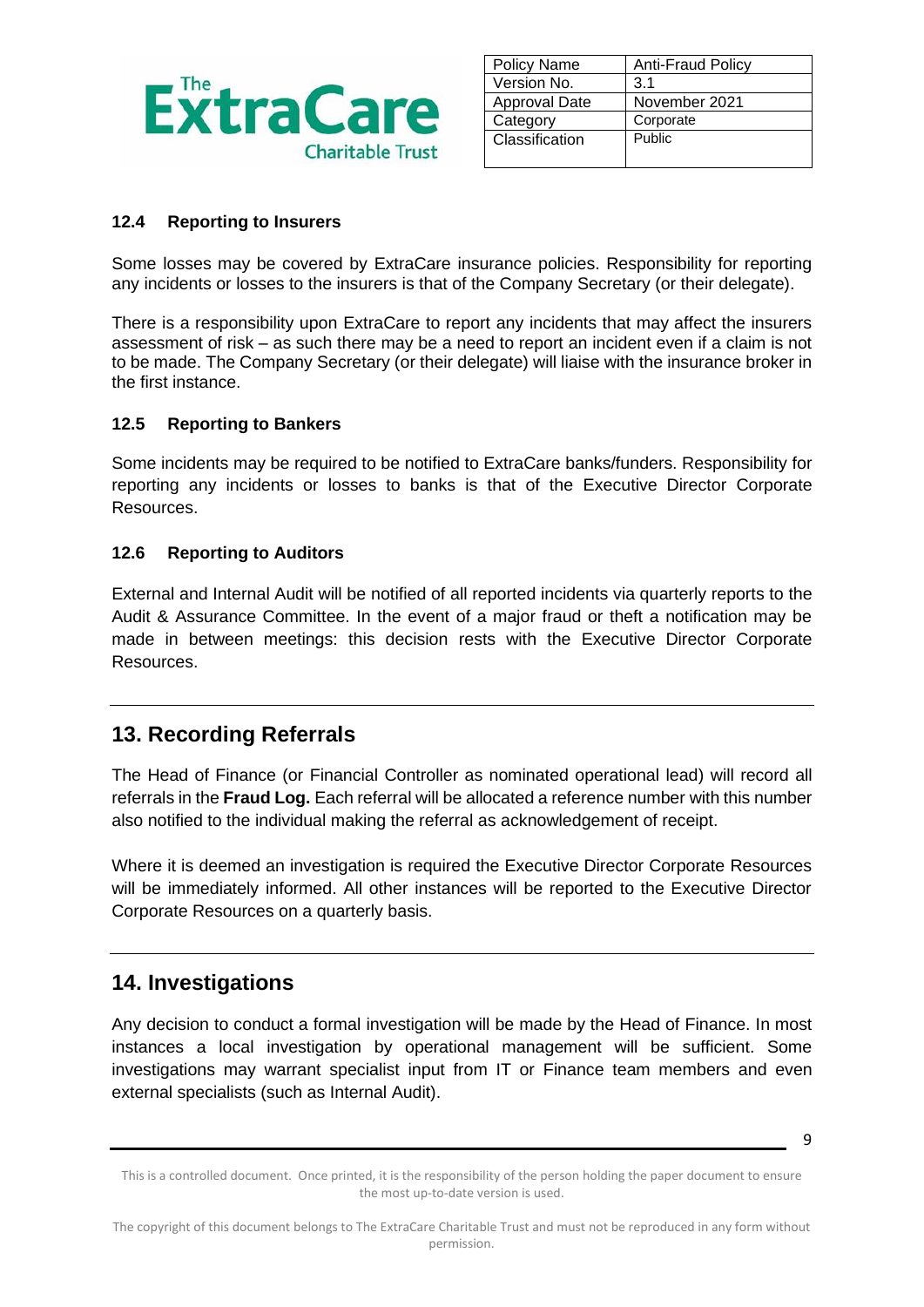

| <b>Policy Name</b>   | <b>Anti-Fraud Policy</b> |
|----------------------|--------------------------|
| Version No.          | 3.1                      |
| <b>Approval Date</b> | November 2021            |
| Category             | Corporate                |
| Classification       | Public                   |
|                      |                          |

#### **12.4 Reporting to Insurers**

Some losses may be covered by ExtraCare insurance policies. Responsibility for reporting any incidents or losses to the insurers is that of the Company Secretary (or their delegate).

There is a responsibility upon ExtraCare to report any incidents that may affect the insurers assessment of risk – as such there may be a need to report an incident even if a claim is not to be made. The Company Secretary (or their delegate) will liaise with the insurance broker in the first instance.

#### **12.5 Reporting to Bankers**

Some incidents may be required to be notified to ExtraCare banks/funders. Responsibility for reporting any incidents or losses to banks is that of the Executive Director Corporate Resources.

#### **12.6 Reporting to Auditors**

External and Internal Audit will be notified of all reported incidents via quarterly reports to the Audit & Assurance Committee. In the event of a major fraud or theft a notification may be made in between meetings: this decision rests with the Executive Director Corporate Resources.

### **13. Recording Referrals**

The Head of Finance (or Financial Controller as nominated operational lead) will record all referrals in the **Fraud Log.** Each referral will be allocated a reference number with this number also notified to the individual making the referral as acknowledgement of receipt.

Where it is deemed an investigation is required the Executive Director Corporate Resources will be immediately informed. All other instances will be reported to the Executive Director Corporate Resources on a quarterly basis.

#### **14. Investigations**

Any decision to conduct a formal investigation will be made by the Head of Finance. In most instances a local investigation by operational management will be sufficient. Some investigations may warrant specialist input from IT or Finance team members and even external specialists (such as Internal Audit).

This is a controlled document. Once printed, it is the responsibility of the person holding the paper document to ensure the most up-to-date version is used.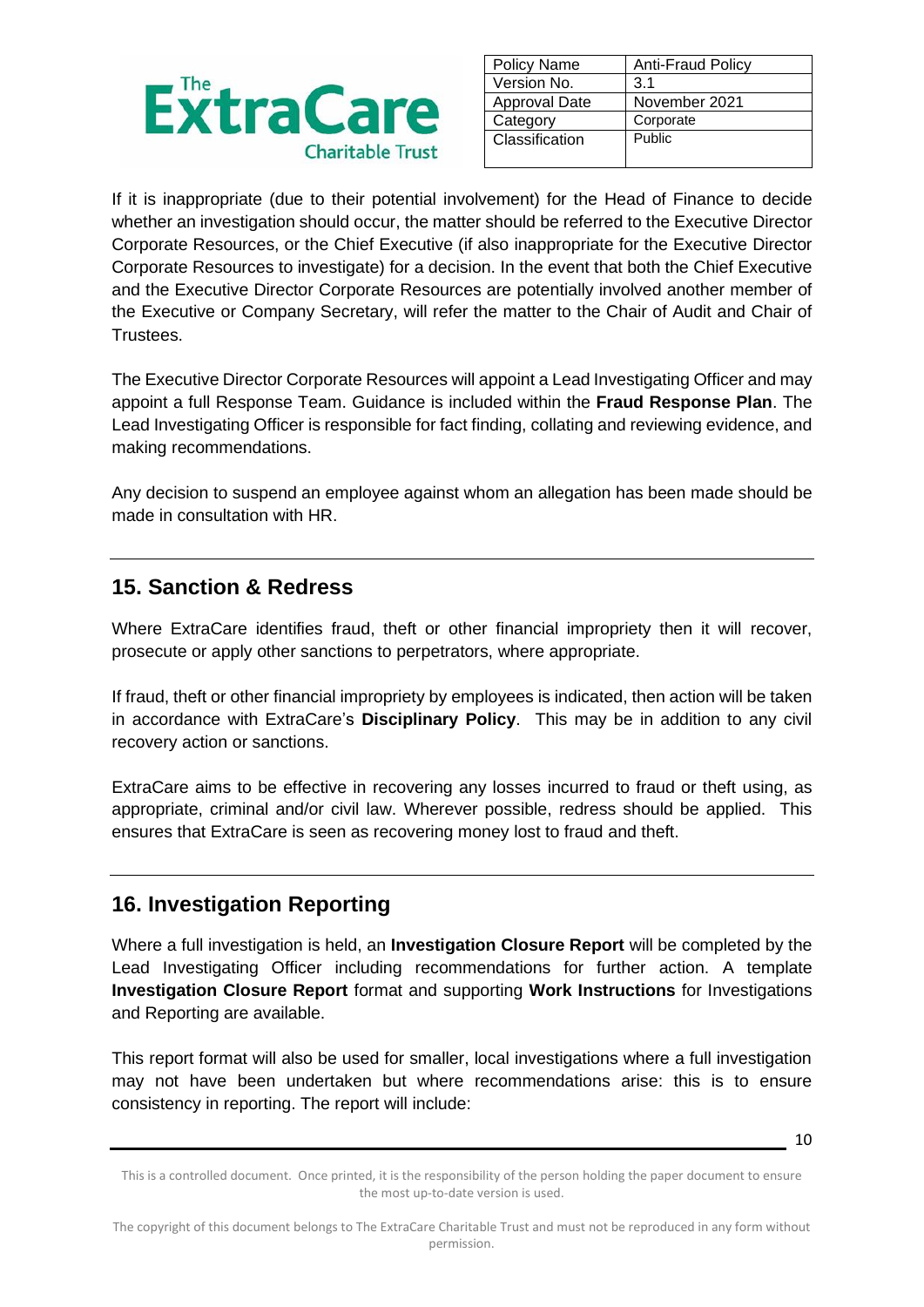

| <b>Policy Name</b>   | <b>Anti-Fraud Policy</b> |
|----------------------|--------------------------|
| Version No.          | 3.1                      |
| <b>Approval Date</b> | November 2021            |
| Category             | Corporate                |
| Classification       | Public                   |
|                      |                          |

If it is inappropriate (due to their potential involvement) for the Head of Finance to decide whether an investigation should occur, the matter should be referred to the Executive Director Corporate Resources, or the Chief Executive (if also inappropriate for the Executive Director Corporate Resources to investigate) for a decision. In the event that both the Chief Executive and the Executive Director Corporate Resources are potentially involved another member of the Executive or Company Secretary, will refer the matter to the Chair of Audit and Chair of Trustees.

The Executive Director Corporate Resources will appoint a Lead Investigating Officer and may appoint a full Response Team. Guidance is included within the **Fraud Response Plan**. The Lead Investigating Officer is responsible for fact finding, collating and reviewing evidence, and making recommendations.

Any decision to suspend an employee against whom an allegation has been made should be made in consultation with HR.

### **15. Sanction & Redress**

Where ExtraCare identifies fraud, theft or other financial impropriety then it will recover, prosecute or apply other sanctions to perpetrators, where appropriate.

If fraud, theft or other financial impropriety by employees is indicated, then action will be taken in accordance with ExtraCare's **Disciplinary Policy**. This may be in addition to any civil recovery action or sanctions.

ExtraCare aims to be effective in recovering any losses incurred to fraud or theft using, as appropriate, criminal and/or civil law. Wherever possible, redress should be applied. This ensures that ExtraCare is seen as recovering money lost to fraud and theft.

## **16. Investigation Reporting**

Where a full investigation is held, an **Investigation Closure Report** will be completed by the Lead Investigating Officer including recommendations for further action. A template **Investigation Closure Report** format and supporting **Work Instructions** for Investigations and Reporting are available.

This report format will also be used for smaller, local investigations where a full investigation may not have been undertaken but where recommendations arise: this is to ensure consistency in reporting. The report will include:

This is a controlled document. Once printed, it is the responsibility of the person holding the paper document to ensure the most up-to-date version is used.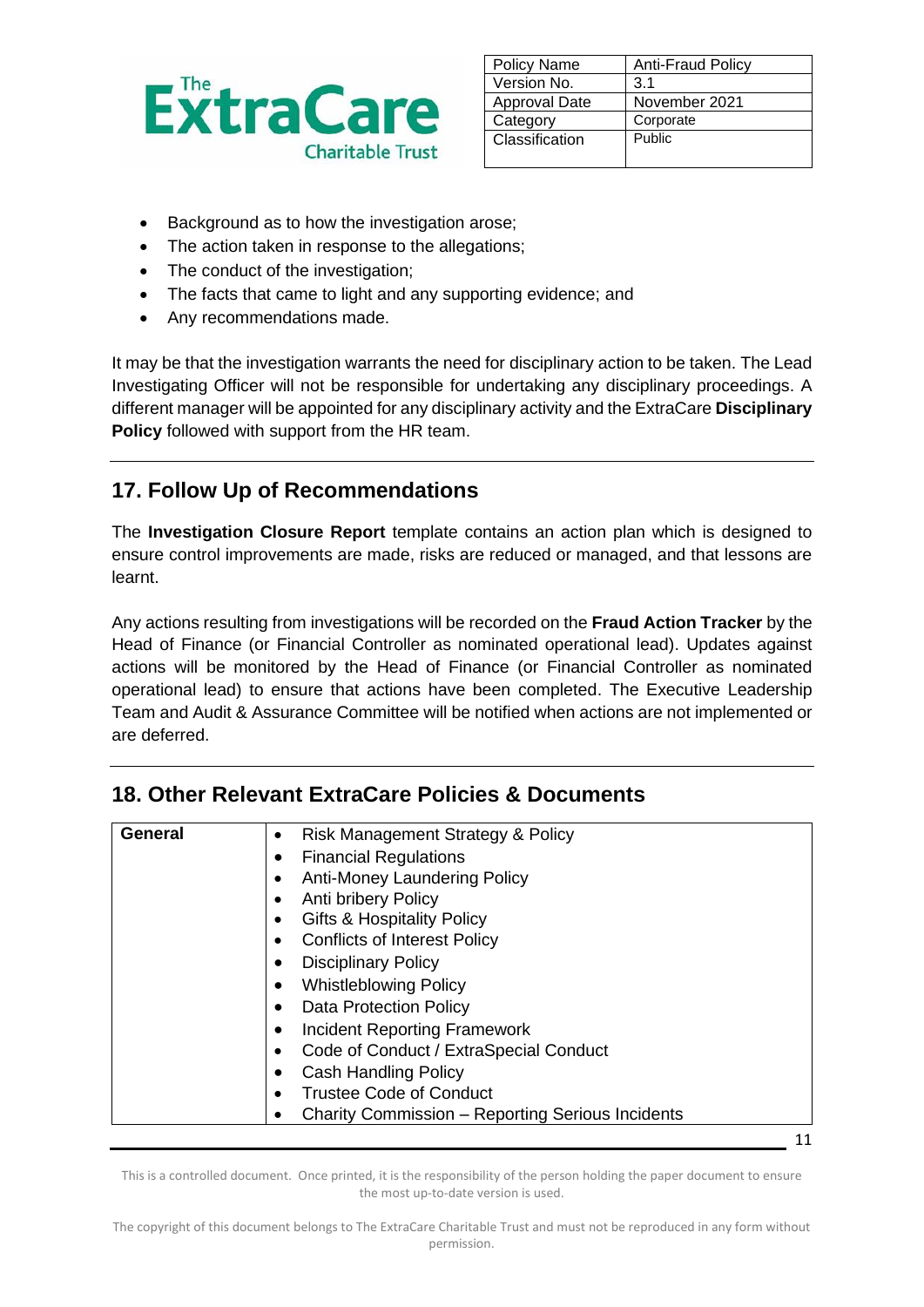

| <b>Policy Name</b>   | <b>Anti-Fraud Policy</b> |
|----------------------|--------------------------|
| Version No.          | 3.1                      |
| <b>Approval Date</b> | November 2021            |
| Category             | Corporate                |
| Classification       | Public                   |
|                      |                          |

- Background as to how the investigation arose;
- The action taken in response to the allegations;
- The conduct of the investigation:
- The facts that came to light and any supporting evidence; and
- Any recommendations made.

It may be that the investigation warrants the need for disciplinary action to be taken. The Lead Investigating Officer will not be responsible for undertaking any disciplinary proceedings. A different manager will be appointed for any disciplinary activity and the ExtraCare **Disciplinary Policy** followed with support from the HR team.

# **17. Follow Up of Recommendations**

The **Investigation Closure Report** template contains an action plan which is designed to ensure control improvements are made, risks are reduced or managed, and that lessons are learnt.

Any actions resulting from investigations will be recorded on the **Fraud Action Tracker** by the Head of Finance (or Financial Controller as nominated operational lead). Updates against actions will be monitored by the Head of Finance (or Financial Controller as nominated operational lead) to ensure that actions have been completed. The Executive Leadership Team and Audit & Assurance Committee will be notified when actions are not implemented or are deferred.

## **18. Other Relevant ExtraCare Policies & Documents**

| General | Risk Management Strategy & Policy<br>٠<br><b>Financial Regulations</b><br><b>Anti-Money Laundering Policy</b><br>Anti bribery Policy<br><b>Gifts &amp; Hospitality Policy</b><br><b>Conflicts of Interest Policy</b><br><b>Disciplinary Policy</b><br><b>Whistleblowing Policy</b> |
|---------|------------------------------------------------------------------------------------------------------------------------------------------------------------------------------------------------------------------------------------------------------------------------------------|
|         | <b>Data Protection Policy</b><br><b>Incident Reporting Framework</b><br>Code of Conduct / ExtraSpecial Conduct<br>٠<br>Cash Handling Policy<br><b>Trustee Code of Conduct</b><br>Charity Commission - Reporting Serious Incidents                                                  |

This is a controlled document. Once printed, it is the responsibility of the person holding the paper document to ensure the most up-to-date version is used.